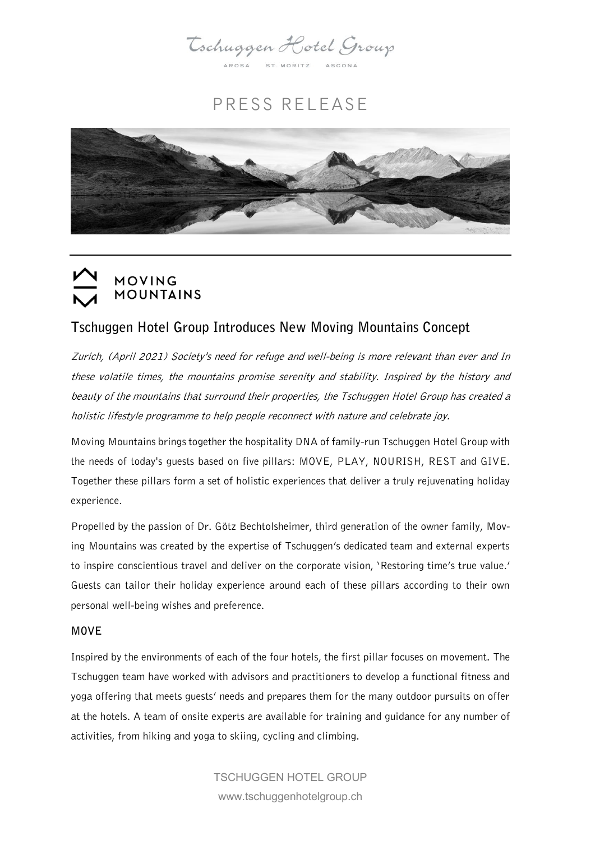Tschuggen Hotel Group

AROSA ST. MORITZ

# PRESS RELEASE





# Tschuggen Hotel Group Introduces New Moving Mountains Concept

Zurich, (April 2021) Society's need for refuge and well-being is more relevant than ever and In these volatile times, the mountains promise serenity and stability. Inspired by the history and beauty of the mountains that surround their properties, the Tschuggen Hotel Group has created a holistic lifestyle programme to help people reconnect with nature and celebrate joy.

Moving Mountains brings together the hospitality DNA of family-run Tschuggen Hotel Group with the needs of today's guests based on five pillars: MOVE, PLAY, NOURISH, REST and GIVE. Together these pillars form a set of holistic experiences that deliver a truly rejuvenating holiday experience.

Propelled by the passion of Dr. Götz Bechtolsheimer, third generation of the owner family, Moving Mountains was created by the expertise of Tschuggen's dedicated team and external experts to inspire conscientious travel and deliver on the corporate vision, 'Restoring time's true value.' Guests can tailor their holiday experience around each of these pillars according to their own personal well-being wishes and preference.

#### MOVE

Inspired by the environments of each of the four hotels, the first pillar focuses on movement. The Tschuggen team have worked with advisors and practitioners to develop a functional fitness and yoga offering that meets guests' needs and prepares them for the many outdoor pursuits on offer at the hotels. A team of onsite experts are available for training and guidance for any number of activities, from hiking and yoga to skiing, cycling and climbing.

> TSCHUGGEN HOTEL GROUP www.tschuggenhotelgroup.ch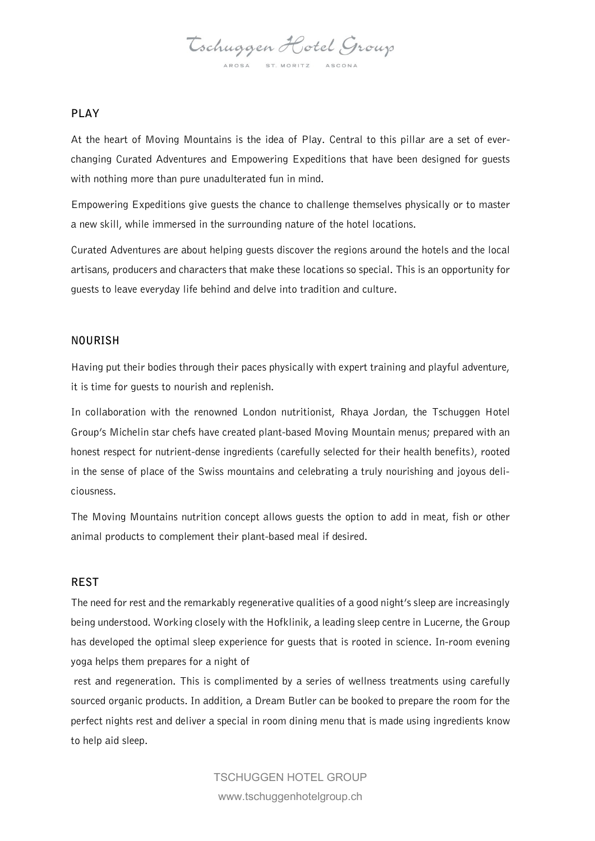Tschuggen Hotel Group AROSA ST. MORITZ ASCON

### PLAY

At the heart of Moving Mountains is the idea of Play. Central to this pillar are a set of everchanging Curated Adventures and Empowering Expeditions that have been designed for guests with nothing more than pure unadulterated fun in mind.

Empowering Expeditions give guests the chance to challenge themselves physically or to master a new skill, while immersed in the surrounding nature of the hotel locations.

Curated Adventures are about helping guests discover the regions around the hotels and the local artisans, producers and characters that make these locations so special. This is an opportunity for guests to leave everyday life behind and delve into tradition and culture.

#### NOURISH

Having put their bodies through their paces physically with expert training and playful adventure, it is time for guests to nourish and replenish.

In collaboration with the renowned London nutritionist, Rhaya Jordan, the Tschuggen Hotel Group's Michelin star chefs have created plant-based Moving Mountain menus; prepared with an honest respect for nutrient-dense ingredients (carefully selected for their health benefits), rooted in the sense of place of the Swiss mountains and celebrating a truly nourishing and joyous deliciousness.

The Moving Mountains nutrition concept allows guests the option to add in meat, fish or other animal products to complement their plant-based meal if desired.

#### REST

The need for rest and the remarkably regenerative qualities of a good night's sleep are increasingly being understood. Working closely with the Hofklinik, a leading sleep centre in Lucerne, the Group has developed the optimal sleep experience for guests that is rooted in science. In-room evening yoga helps them prepares for a night of

rest and regeneration. This is complimented by a series of wellness treatments using carefully sourced organic products. In addition, a Dream Butler can be booked to prepare the room for the perfect nights rest and deliver a special in room dining menu that is made using ingredients know to help aid sleep.

> TSCHUGGEN HOTEL GROUP www.tschuggenhotelgroup.ch